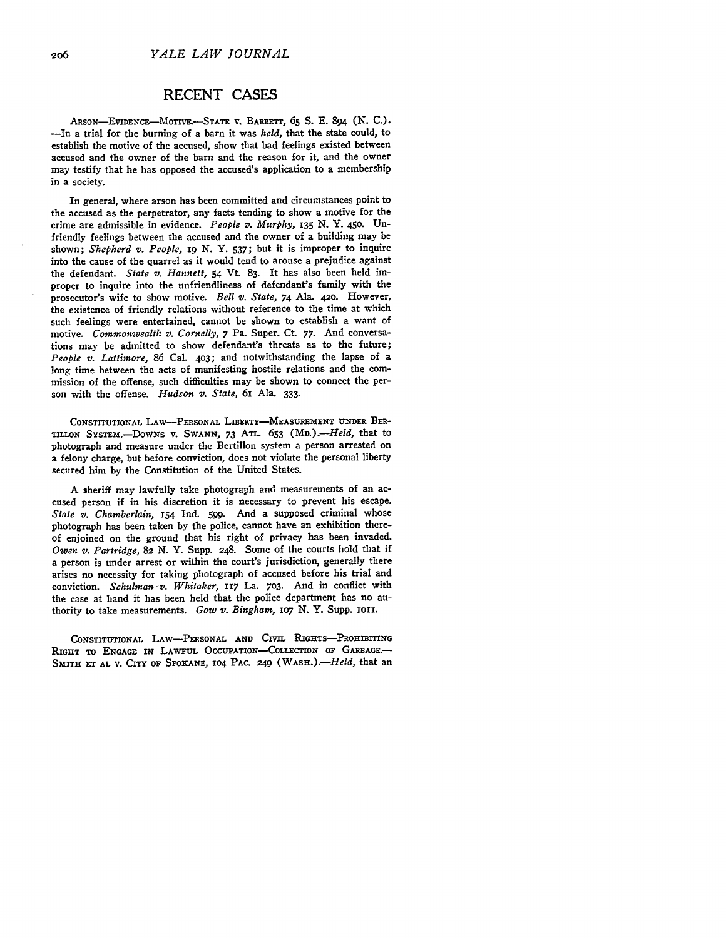## RECENT **CASES**

ARSON-EVIDENCE-MOTIVE.-STATE v. BARRETT, **65 S. E.** 894 **(N. C.).** -In a trial for the burning of a barn it was *held,* that the state could, to establish the motive of the accused, show that bad feelings existed between accused and the owner of the barn and the reason for it, and the owner may testify that he has opposed the accused's application to a membership in a society.

In general, where arson has been committed and circumstances point to the accused as the perpetrator, any facts tending to show a motive for the crime are admissible in evidence. *People v. Murphy, 135* **N. Y.** 450. Unfriendly feelings between the accused and the owner of a building may be shown; *Shepherd v. People, ig* **N. Y.** 537; but it is improper to inquire into the cause of the quarrel as it would tend to arouse a prejudice against the defendant. *State v. Hannett,* 54 **Vt. 83.** It has also been held improper to inquire into the unfriendliness of defendant's family with the prosecutor's wife to show motive. *Bell v. State,* 74 Ala. 42o. However, the existence of friendly relations without reference to the time at which such feelings were entertained, cannot be shown to establish a want of motive. *Commonwealth v. Cornelly, 7* **Pa.** Super. Ct. **77.** And conversations may be admitted to show defendant's threats as to the future; *People v. Lattimore,* **86** Cal. **403;** and notwithstanding the lapse of a long time between the acts of manifesting hostile relations and the commission of the offense, such difficulties may be shown to connect the person with the offense. *Hudson v. State,* 61 Ala. 333.

**CONSTITUTIONAL** LAW-PERSONAL LIBERTY-MEASUREMENT **UNDER** BER-TILL N SysTE.-DowNs V. **SWANN,** 73 **ATL.** 653 *(MD.).-Held,* that to photograph and measure under the Bertillon system a person arrested on a felony charge, but before conviction, does not violate the personal liberty secured him by the Constitution of the United States.

A sheriff may lawfully take photograph and measurements of an accused person if in his discretion it is necessary to prevent his escape. *State v. Chamberlain,* 154 Ind. **599.** And a supposed criminal whose photograph has been taken by the police, cannot have an exhibition thereof enjoined on the ground that his right of privacy has been invaded. *Owen v. Partridge, 82* N. Y. Supp. 248. Some of the courts hold that if a person is under arrest or within the court's jurisdiction, generally there arises no necessity for taking photograph of accused before his trial and conviction. *Schulman v. Whitaker,* **117** La. **703.** And in conflict with the case at hand it has been held that the police department has no authority to take measurements. *Gow v. Bingham*, 107 N.Y. Supp. 1011.

**CONSTITUTIONAL LAW-PERSONAL AND** Civi. **RIGHTS-PROHIBITING RIGHT TO ENGAGE IN LAWFUL OccuPATIoN-CoLLEcTIoN OF GARBAGE.- SMITH ET AL V.** CITY **OF SPOKANE, 104 PAC. 49** *(WAsH.).-Held,* that an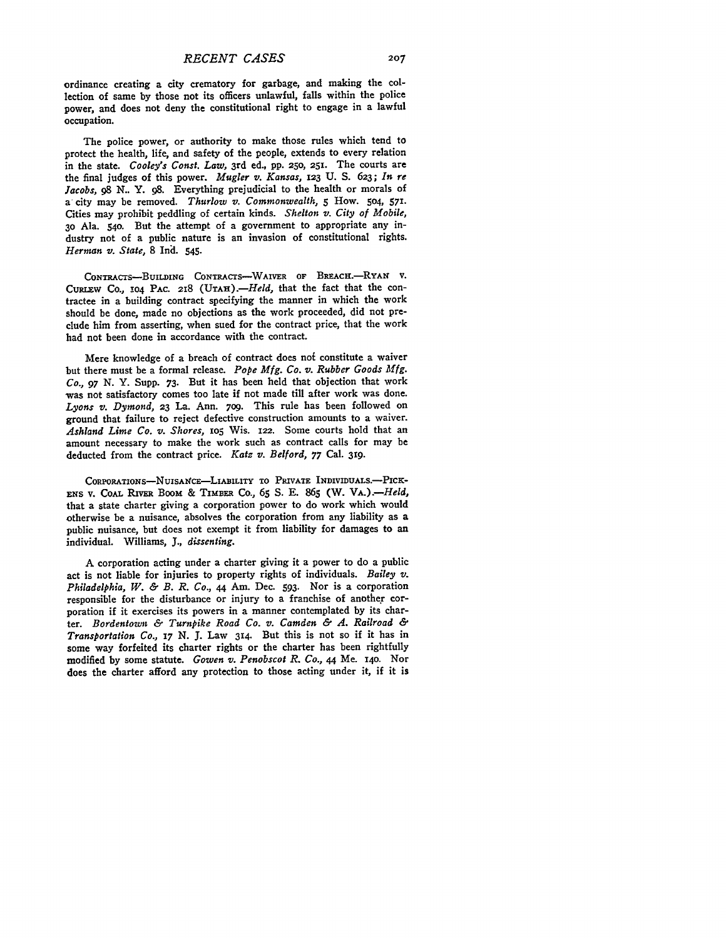ordinance creating a city crematory for garbage, and making the collection of same **by** those not its officers unlawful, falls within the police power, and does not deny the constitutional right to engage in a lawful occupation.

The police power, or authority to make those rules which tend to protect the health, life, and safety of the people, extends to every relation in the state. *Cooley's Const. Law,* 3rd ed., pp. **250, 251.** The courts are the final judges of this power. *Mugler v. Kansas,* **123 U.** S. **623;** *In re Jacobs, 98* N.. Y. **98.** Everything prejudicial to the health or morals of a city may be removed. *Thurlow v. Commonwealth, 5* How. 504, **571.** Cities may prohibit peddling of certain kinds. *Shelton v. City of Mobile,* **3o** Ala. 54o. But the attempt of a government to appropriate any industry not of a public nature is an invasion of constitutional rights. *Herman v. State,* 8 Ind. **545.**

CONTRACTS-BUILDING CONTRACTS-WAIVER OF BREACH.-RYAN V. CURLEW Co., 104 PAC. 218 (UTAH). - Held, that the fact that the contractee in a building contract specifying the manner in which the work should be done, made no objections as the work proceeded, did not preclude him from asserting, when sued for the contract price, that the work had not been done in accordance with the contract.

Mere knowledge of a breach of contract does not constitute a waiver but there must be a formal release. *Pope Mfg. Co. v. Rubber Goods Mfg. Co., 97* **N.** Y. Supp. **73.** But it has been held that objection that work was not satisfactory comes too late if not made till after work was done. *Lyons v. Dymond,* **23** La. Ann. **709.** This rule has been followed on ground that failure to reject defective construction amounts to a waiver. *Ashland Lime Co. v. Shores,* **1o5** Wis. **122.** Some courts hold that an amount necessary to make the work such as contract calls for may be deducted from the contract price. *Katz v. Belford, 77* Cal. **319.**

**CORPORATIONs-NuISAI4E-LIABILITY TO** PRIVATE **INDIVIDUALS.-PIC.- ENS v. COAL** RIVER Boom & **TIMBER** Co., **65 S. E. 865** (W. *VA.).-Held,* that a state charter giving a corporation power to do work which would otherwise be a nuisance, absolves the corporation from any liability as a public nuisance, but does not exempt it from liability for damages to an individual. Williams, *J., dissenting.*

A corporation acting under a charter giving it a power to do a public act is not liable for injuries to property rights of individuals. *Bailey v. Philadelphia, W. & B. R. Co., 44* Am. Dec. 593. Nor is a corporation responsible for the disturbance or injury to a franchise of another corporation if it exercises its powers in a manner contemplated by its charter. *Bordentown & Turnpike Road Co. v. Camden & A. Railroad & Transportation Co., 17* N. **J.** Law 314. But this is not so if it has in some way forfeited its charter rights or the charter has been rightfully modified by some statute. *Gowen v. Penobscot R. Co., 44* Me. i4O. Nor does the charter afford any protection to those acting under it, if it is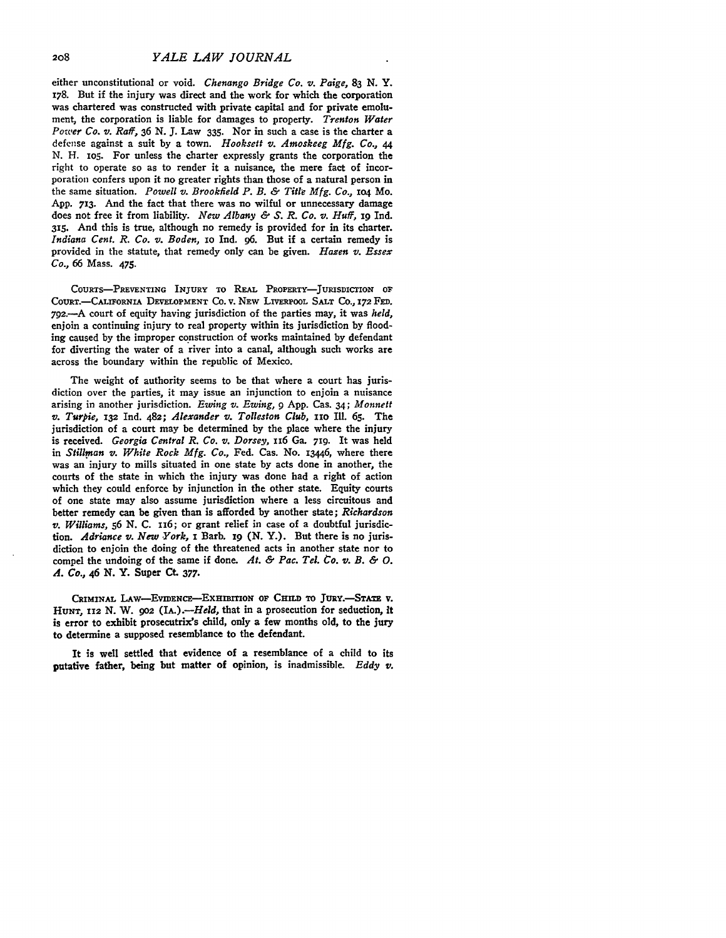either unconstitutional or void. *Chenango Bridge Co. v. Paige,* **83 N.** Y. 178. But if the injury was direct and the work for which the corporation was chartered was constructed with private capital and for private emolument, the corporation is liable for damages to property. *Trenton Water Power Co. v. Raff, 36 N.* **J.** Law **335.** Nor in such a case is the charter a defense against a suit **by** a town. *Hooksett v. Amoskeeg Mfg. Co., 44* **N.** H. io5. For unless the charter expressly grants the corporation the right to operate so as to render it a nuisance, the mere fact of incorporation confers upon it no greater rights than those of a natural person in the same situation. *Powell v. Brookfield P. B. & Title Mfg. Co., io4* Mo. **App. 713.** And the fact that there was no wilful or unnecessary damage does not free it from liability. *New Albany & S. R. Co. v. Huff, ig* Ind. **315.** And this is true, although no remedy is provided for in its charter. *Indiana Cent. R. Co. v. Boden,* **io Ind. 96.** But if a certain remedy is provided in the statute, that remedy only can be given. *Hazen v. Essex Co., 66* Mass. 475.

COURTS-PREVENTING INJURY TO REAL PROPERTY-JURISDICTION OF COURT.-CALIFORNIA **DEVELOPMENT** Co. **v.** NEW LIVERPOOL **SALT** Co., **172 FED. 792.-A** court of equity having jurisdiction of the parties may, it was *held,* enjoin a continuing injury to real property within its jurisdiction **by** flooding caused **by** the improper construction of works maintained **by** defendant for diverting the water of a river into a canal, although such works are across the boundary within the republic of Mexico.

The weight of authority seems to be that where a court has jurisdiction over the parties, it may issue an injunction to enjoin a nuisance arising in another jurisdiction. *Ewing v. Ewing,* 9 **App.** Cas. **34;** *Monnett v. Turpie,* 132 **Ind.** 482; *Alexander v. Tolleston Club,* iio Ill. **65.** The jurisdiction of a court may be determined **by** the place where the injury is received. *Georgia Central R. Co. v. Dorsey,* x16 Ga. **719.** It was held in *Stillman v. White Rock Mfg. Co.,* Fed. Cas. No. 13446, where there was an injury to mills situated in one state **by** acts done in another, the courts of the state in which the injury was done had a right of action which they could enforce **by** injunction in the other state. Equity courts of one state may also assume jurisdiction where a less circuitous and better remedy can be given than is afforded **by** another state; *Richardson v. Williams, 56* **N. C. 116;** or grant relief in case of a doubtful jurisdiction. *Adriance v. New York,* I Barb. 19 (N. Y.). But there is no jurisdiction to enjoin the doing of the threatened acts in another state nor to compel the undoing of the same if done. *At. & Pac. Tel. Co. v. B. & 0. A. Co.,* 46 **N.** Y. Super Ct **377.**

CRIMINAL LAW-EVIDENCE-EXHIBITION OF CHILD TO JURY.-STATE **V.** HUNT, **112** *N.* W. *90o2 (IA.).-Held,* that in a prosecution for seduction, It **is** error to exhibit prosecutrix's child, **only** a few months old, to the jury to determine a supposed resemblance to the defendant.

It is well settled that evidence of a resemblance of a child to its putative **father,** being but matter of opinion, is inadmissible. *Eddy v.*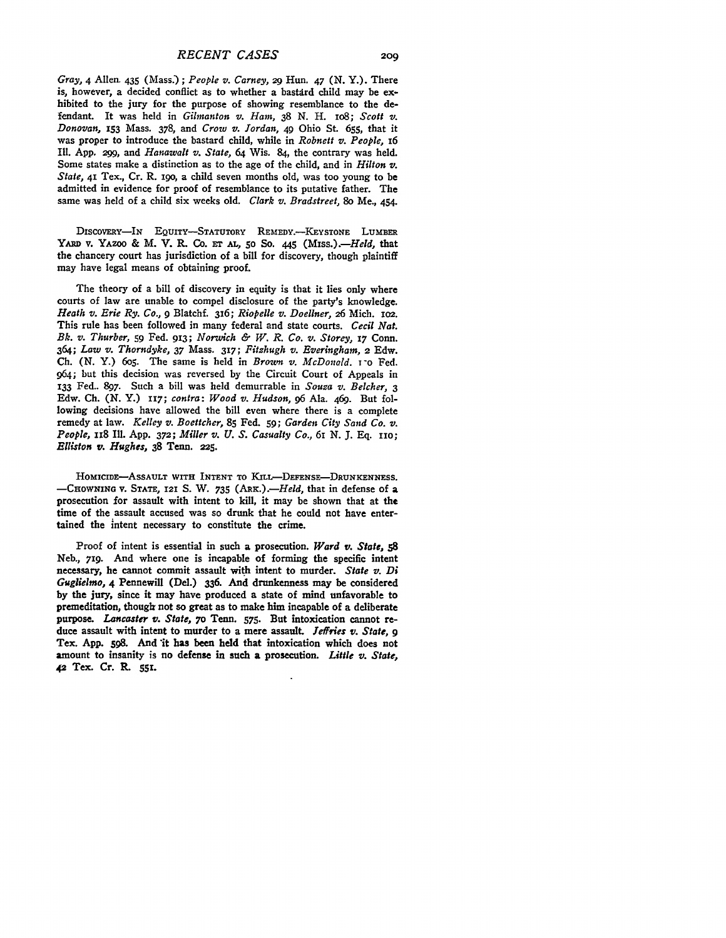*Gray,* 4 Allen. 435 (Mass.); *People v. Carney,* 29 Hun. 47 (N. Y.). There is, however, a decided conflict as to whether a bastard child may be exhibited to the jury for the purpose of showing resemblance to the defendant. It was held in *Gilmanton v. Ham,* 38 N. H. io8; *Scott v. Donovan,* **153** Mass. 378, and *Crow v. Jordan,* 49 Ohio St. *655,* that it was proper to introduce the bastard child, while in *Robnett v. People, I6* Ill. App. 299, and *Hanawalt v. State,* 64 Wis. 84, the contrary was held. Some states make a distinction as to the age of the child, and in *Hilton v. State,* **41** Tex., Cr. R. I9o, a child seven months old, was too young to be admitted in evidence for proof of resemblance to its putative father. The same was held of a child six weeks old. *Clark v. Bradstreet, 8o* Me., 454.

DISCOVERY-IN EQUITY-STATUTORY REMEDY.--KEYSTONE LUMBER YARD v. YAzoo & M. V. R. Co. **ET AL,,** *5o* So. **445** *(Miss.) -Held,* that the chancery court has jurisdiction of a bill for discovery, though plaintiff may have legal means of obtaining proof.

The theory of a bill of discovery in equity is that it lies only where courts of law are unable to compel disclosure of the party's knowledge. *Heath v. Erie Ry. Co.,* **9** Blatchf. 316; *Riopelle v. Doellner,* 26 Mich. io2. This rule has been followed in many federal and state courts. *Cecil Nat. Bk. v. Thurber,* **59** Fed. **913;** *Norwich & W. R. Co. v. Storey,* **17** Conn. 364; *Law v. Thorndyke,* 37 Mass. **317;** *Fitzhugh v. Everingham,* 2 Edw. **Ch.** (N. Y.) 6o5. The same is held in *Brown v. McDonald. T'o* Fed. 964; but this decision was reversed **by** the Circuit Court of Appeals in **133** Fed.. **8-97.** Such a bill was held demurrable in *Souza v. Belcher, 3* Edw. **Ch.** (N. Y.) IV; *contra: Wood v. Hudson,* **96** Ala. 469. But following decisions have allowed the bill even where there is a complete remedy at law. *Kelley v. Boettcher,* **85** Fed. **59;** *Garden City Sand Co. v. People,* 1i8 Ill. **App. 372;** *Miller v. U. S. Casualty Co., 6i* **N. J. Eq.** iio; Elliston *v.* Hughes, **38** Tenn. **25.**

HOMICIDE-ASSAULT WITH INTENT TO KILL-DEFENSE-DRUNKENNESS. **-CHOWNING** V. **STATE,** 121 **S.** W. **735** *(ARx.).-Held,* that in defense of a prosecution for assault with intent to kill, it may be shown that at the time of the assault accused was so drunk that he could not have entertained the intent necessary to constitute the crime.

Proof of intent is essential in such a prosecution. *Ward v. State, 58* Neb., 719. And where one is incapable of forming the specific intent necessary, he cannot commit assault with intent to murder. *State v. Di Guglielmo,* 4 Pennewill (Del.) **336.** And drunkenness may be considered **by** the jury, since it may have produced a state of mind unfavorable to premeditation, though not so great as to make him incapable of a deliberate purpose. *Lancaster v. State,* **7o** Tenn. 575. But intoxication cannot reduce assault with intent to murder to a mere assault. *Jeffries v. State, 9* Tex. **App. 598.** And it **has** been held that intoxication which does not amount to insanity is no defense in such a prosecution. *Little v. State,* **42** Tex. Cr. R. **55.**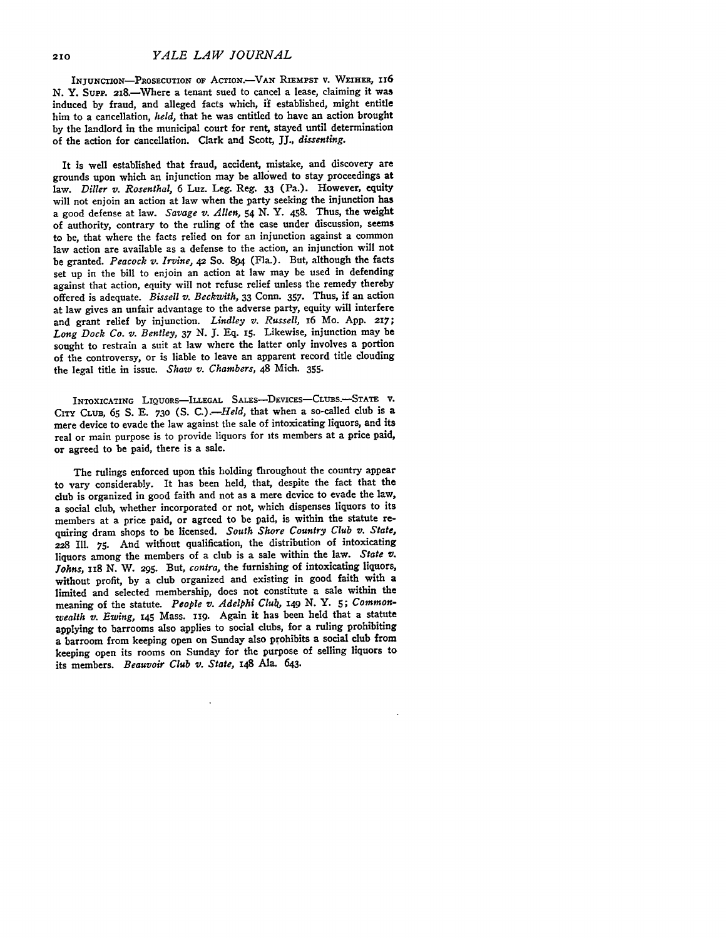INJUNCTION-PROSECUTION **OF** AcTioN.-VAN RIEMPST V. WEIHER, **Ir6 N.** Y. **SuPP.** 218.-Where a tenant sued to cancel a lease, claiming it was induced **by** fraud, and alleged facts which, if established, might entitle him to a cancellation, *held,* that he was entitled to have an action brought **by** the landlord in the municipal court for **rent,** stayed until determination of the action for cancellation. Clark and Scott, **JJ.,** *dissenting.*

It is well established that fraud, accident, mistake, and discovery are grounds upon which an injunction may be allowed to stay proceedings at law. *Diller v. Rosenthal,* 6 Luz. Leg. Reg. **33** (Pa.). However, equity will not enjoin an action at law when the party seeking the injunction has a good defense at law. *Savage v. Allen,* 54 **N. Y.** 458. Thus, the weight of authority, contrary to the ruling of the case under discussion, seems to be, that where the facts relied on for an injunction against a common law action are available as a defense to the action, an injunction will not be granted. *Peacock z. Irvine, 42* So. 894 (Fla.). But, although the facts set up in the bill to enjoin an action at law may be used in defending against that action, equity will not refuse relief unless the remedy thereby offered is adequate. *Bissell v. Beckwith,* **33** Conn. **357.** Thus, if an action at law gives an unfair advantage to the adverse party, equity will interfere and grant relief **by** injunction. *Lindley v. Russell, I6* Mo. **App. 217;** *Long Dock Co. v. Bentley, 37* **N. J. Eq. 15.** Likewise, injunction may be sought to restrain a suit at law where the latter only involves a portion of the controversy, or is liable to leave an apparent record title clouding the legal title in issue. *Shaw v. Chambers,* 48 Mich. **355.**

**INTOXICATING** LIQUORS-ILLEGAL SALES-DEvICES-CLUBs.-STATE **V. CITY** CLUB, **65** S. **E. 730 (S.** *C.).--Held,* that when a so-called club is a mere device to evade the law against the sale of intoxicating liquors, and its real or main purpose is to provide liquors for its members at a price paid, or agreed to be paid, there is a sale.

The rulings enforced upon this holding fhroughout the country appear to vary considerably. It has been held, that, despite the fact that the club is organized in good faith and not as a mere device to evade the law, a social club, whether incorporated or not, which dispenses liquors to its members at a price paid, or agreed to be paid, is within the statute requiring dram shops to be licensed. *South Shore Country Club v. State, 228* Ill. **75.** And without qualification, the distribution of intoxicating liquors among the members of a club is a sale within the law. *State v. Johns, 1i8* **N.** W. **295.** But, *contra,* the furnishing of intoxicating liquors, without profit, **by** a club organized and existing in good faith with a limited and selected membership, does not constitute a sale within the meaning of the statute. People v. Adelphi Club, 149 N. Y. 5; Common*wealth v. Ewing,* **145** Mass. iig. Again it has been held that a statute applying to barrooms also applies to social clubs, for a ruling prohibiting a barroom from keeping open on Sunday also prohibits a social club from keeping open its rooms on Sunday for the purpose of selling liquors to its members. *Beauvoir Club v. State,* 148 Ala. 643.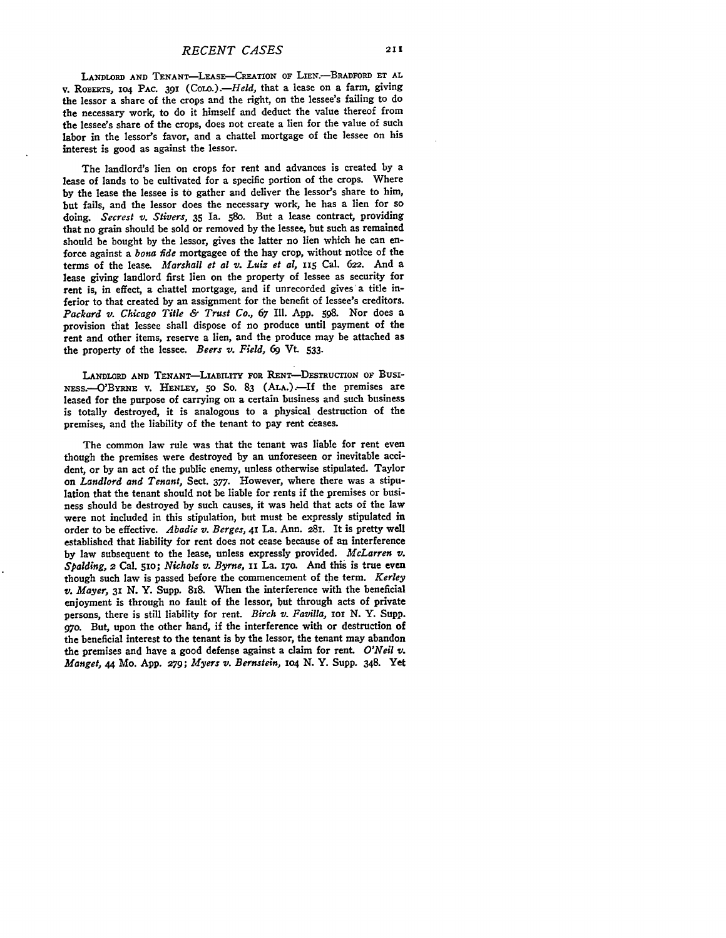LANDLORD AND TENANT-LEASE-CREATION OF LIEN.-BRADFORD ET AL v. ROBERTS, iO4 PAC. **391** *(CoLo.).-Held,* that a lease on a farm, giving the lessor a share of the crops and the right, on the lessee's failing to do the necessary work, to do it himself and deduct the value thereof from the lessee's share of the crops, does not create a lien for the value of such labor in the lessor's favor, and a chattel mortgage of the lessee on his interest is good as against the lessor.

The landlord's lien on crops for rent and advances is created by a lease of lands to be cultivated for a specific portion of the crops. Where by the lease the lessee is to gather and deliver the lessor's share to him, but fails, and the lessor does the necessary work, he has a lien for so doing. *Secrest v. Stivers,* 35 Ia. 58o. But a lease contract, providing that no grain should be sold or removed by the lessee, but such as remained should be bought by the lessor, gives the latter no lien which he can enforce against a *bona fide* mortgagee of the hay crop, without notice of the terms of the lease. *Marshall et al v. Luiz et al,* **115** Cal. **622.** And a lease giving landlord first lien on the property of lessee as security for rent is, in effect, a chattel mortgage, and if unrecorded gives a title inferior to that created by an assignment for the benefit of lessee's creditors. *Packard v. Chicago Title & Trust Co.,* 67 Ill. App. **598.** Nor does a provision that lessee shall dispose of no produce until payment of the rent and other items, reserve a lien, and the produce may be attached as the property of the lessee. *Beers v. Field, 69* Vt. 533.

LANDLORD **AND TENANT-LIABILITY FOR RENT-DEsTRUCTION OF** Busi-NESS.---O'BYRNE V. HENLEY, 50 So. 83 (ALA.).--If the premises are leased for the purpose of carrying on a certain business and such business is totally destroyed, it is analogous to a physical destruction of the premises, and the liability of the tenant to pay rent ceases.

The common law rule was that the tenant was liable for rent even though the premises were destroyed by an unforeseen or inevitable accident, or by an act of the public enemy, unless otherwise stipulated. Taylor on *Landlord and Tenant,* Sect. 377. However, where there was a stipulation that the tenant should not be liable for rents if the premises or business should be destroyed **by** such causes, it was held that acts of the law were not included in this stipulation, but must be expressly stipulated in order to be effective. *Abadie v. Berges,* 41 La. Ann. 281. It is pretty well established that liability for rent does not cease because of an interference **by** law subsequent to the lease, unless expressly provided. *McLarren v. Spalding, 2 Cal. 510; Nichols v. Byrne, 11 La. 170. And this is true even* though such law is passed before the commencement of the term. *Kerley v. Mayer, 31* **N.** Y. Supp. **818.** When the interference with the beneficial enjoyment is through no fault of the lessor, but through acts of private persons, there is still liability for rent. *Birch v. Favilla*, 101 N. Y. Supp. *970.* But, upon the other hand, if the interference with or destruction of the beneficial interest to the tenant is by the lessor, the tenant may abandon the premises and have a good defense against a claim for rent. *O'Neil v. Mange, 44* Mo. **App.** *279; Myers v. Bernstein, io4* **N.** Y. Supp. 348. Yet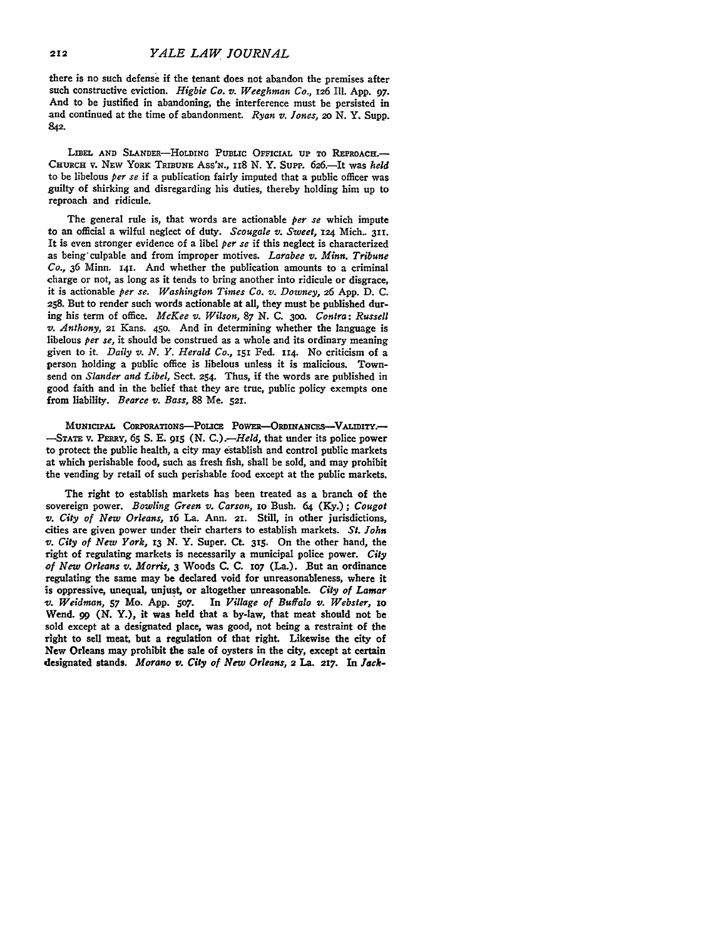there is no such defense if the tenant does not abandon the premises after such constructive eviction. *Higbie Co. v. Weeghman Co.,* 126 Ill. **App. 97.** And to be justified in abandoning, the interference must be persisted in and continued at the time of abandonment. *Ryan v. Jones, 2o* **N.** Y. Supp. **842.**

LIBEL AND SLANDER-HOLDING PUBLIC OFFICIAL UP TO REPROACH. **CHURCH** v. NEW YORK **TRIBUNE** ASS'N., **II8 N.** Y. Supr. 626.-It was *held* to be libelous *per se* if a publication fairly imputed that a public officer was guilty of shirking and disregarding his duties, thereby holding him up to reproach and ridicule.

The general rule is, that words are actionable *per se* which impute to an official a wilful neglect of duty. *Scougale v. Sweet, 124* Mich.. **311.** It is even stronger evidence of a libel *per se* if this neglect is characterized as being'culpable and from improper motives. *Larabee v. Minn. Tribune Co.,* **36** Minn. 14r. And whether the publication amounts to a criminal charge or not, as long as it tends to bring another into ridicule or disgrace, it is actionable *per se. Washington Times Co. v. Downey,* **26 App. D. C. 258.** But to render such words actionable at all, they must be published during his term of office. *McKee v. Wilson, 87 N.* **C. 300.** *Contra: Russell v. Anthony,* **21** Kans. **45o.** And in determining whether the language is libelous *per se,* it should be construed as a whole and its ordinary meaning given to it. *Daily v. N. Y. Herald Co.,* **151** Fed. ui4. No criticism of a person holding a public office is libelous unless it is malicious. Townsend on *Slander and Libel,* Sect. **254.** Thus, if the words are published in good faith and in the belief that they are true, public policy exempts one from liability. *Bearce v. Bass,* **88** Me. **52r.**

**MUNICIPAL** CORPORATIONS-PoLIcE **POWER-ORDINANCES--VALIDITY.- -STATE** v. PERRY, **65 S. E.** *9r5* **(N.** *C.).-Held,* that under its police power to protect the public health, a city may establish and control public markets at which perishable food, such as fresh fish, shall be sold, and may prohibit the vending **by** retail of such perishable food except at the public markets.

The right to establish markets has been treated as a branch of the sovereign power. *Bowling Green v. Carson,* xo Bush. 64 (Ky.); *Cougot v. City of New Orleans,* 16 La. Ann. **21.** Still, in other jurisdictions, cities are given power under their charters to establish markets. *St. John v. City of New York, 13* **N.** Y. Super. Ct. **315.** On the other hand, the right of regulating markets is necessarily a municipal police power. *City of New Orleans v. Morris,* **3** Woods **C. C. 107** (La.). But an ordinance regulating the same may be declared void for unreasonableness, where it is oppressive, unequal, unjust, or altogether unreasonable. *City of Lamar -v. Weidman,* **57** Mo. **App. 5o7.** In *Village of Buffalo v. Webster, io* Wend. **99 (N.** Y.), it was held that a by-law, that meat should not be sold except at a designated place, was good, not being a restraint of the right to sell meat, but a regulation of that right. Likewise the city of New Orleans may prohibit the sale of oysters in the city, except at certain designated stands. *Morano v. City of New Orleans,* **2** *La.* **217.** In *lack-*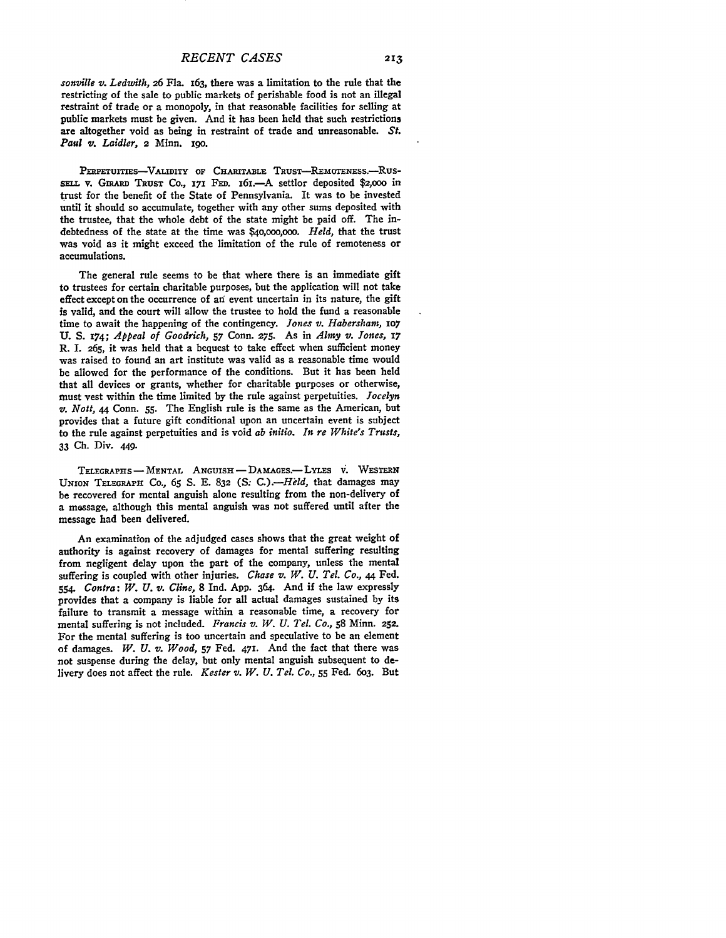*sonville v. Ledwith,* **26** Fla. 163, there was a limitation to the rule that the restricting of the sale to public markets of perishable food is not an illegal restraint of trade or a monopoly, in that reasonable facilities for selling at public markets must be given. And it has been held that such restrictions are altogether void as being in restraint of trade and unreasonable. St. *Paul v. Laidler,* 2 Minn. i9o.

PERPETUITIES-VALIDITY OF CHARITABLE TRUST-REMOTENESS.--RUS-**SELl V. GnARD** TRUST **Co., 171** FED. 16i.-A settlor deposited **\$2,000** in trust for the benefit of the State of Pennsylvania. It was to be invested until it should so accumulate, together with any other sums deposited with the trustee, that the whole debt of the state might be paid off. The indebtedness of the state at the time was \$4o,oooooo. *Held,* that the trust was void as it might exceed the limitation of the rule of remoteness or accumulations.

The general rule seems to be that where there is an immediate gift to trustees for certain charitable purposes, but the application will not take effect except on the occurrence of an event uncertain in its nature, the gift is valid, and the court will allow the trustee to hold the fund a reasonable time to await the happening of the contingency. *Jones v. Habersham, IO7* **U. S. 174;** *Appeal of Goodrich, 57* Conn. **275.** As in *Almy v. Jones, 17* R. **I. 265,** it was held that a bequest to take effect when sufficient money was raised to found an art institute was valid as a reasonable time would be allowed for the performance of the conditions. But it has been held that all devices or grants, whether for charitable purposes or otherwise, must vest within the time limited **by** the rule against perpetuities. *Jocelyn v. Nott, 44* Conn. **55.** The English rule is the same as the American, but provides that a future gift conditional upon an uncertain event is subject to the rule against perpetuities and is void *ab initlo. In re White's Trusts,* **33 Ch.** Div. 449.

**TELEGRAPHS -MENTAL ANGUISH - DAMAGES.-LYLES V. WESTERN** UNION TELEGRAPH Co., 65 S. E. 832 (S. C.).-*Held*, that damages may be recovered for mental anguish alone resulting from the non-delivery of a massage, although this mental anguish was not suffered until after the message had been delivered.

An examination of the adjudged cases shows that the great weight of authority is against recovery of damages for mental suffering resulting from negligent delay upon the part of the company, unless the mental suffering is coupled with other injuries. *Chase v. W. U. Tel. Co., 44* Fed. *554. Contra: W. U. v. Cline,* **8** Ind. **App.** 364. And if the law expressly provides that a company is liable for all actual damages sustained **by** its failure to transmit a message within a reasonable time, a recovery for mental suffering is not included. *Francis v. W. U. Tel. Co.,* **58** Minn. **252.** For the mental suffering is too uncertain and speculative to be an element of damages. *W. U. v. Wood,* **57** Fed. **47r.** And the fact that there was not suspense during the delay, but only mental anguish subsequent to delivery does not affect the rule. *Kester v. W. U. Tel. Co.,* **55** Fed. 6o3. But